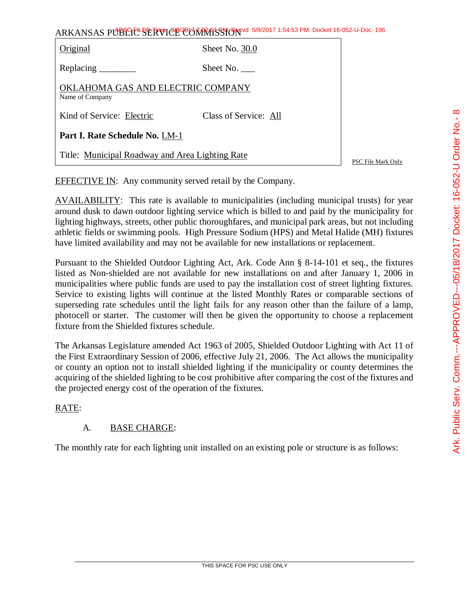|                                                      | ARKANSAS PUBLICL SERVICE CORRATS SHORE 5/8/2017 1:54:53 PM: Docket 16-052-U-Doc. 196 |  |
|------------------------------------------------------|--------------------------------------------------------------------------------------|--|
| Original                                             | Sheet No. 30.0                                                                       |  |
|                                                      | Sheet No.                                                                            |  |
| OKLAHOMA GAS AND ELECTRIC COMPANY<br>Name of Company |                                                                                      |  |
| Kind of Service: Electric                            | Class of Service: All                                                                |  |
| Part I. Rate Schedule No. LM-1                       |                                                                                      |  |
| Title: Municipal Roadway and Area Lighting Rate      | PSC File Mark Only                                                                   |  |

EFFECTIVE IN: Any community served retail by the Company.

AVAILABILITY: This rate is available to municipalities (including municipal trusts) for year around dusk to dawn outdoor lighting service which is billed to and paid by the municipality for lighting highways, streets, other public thoroughfares, and municipal park areas, but not including athletic fields or swimming pools. High Pressure Sodium (HPS) and Metal Halide (MH) fixtures have limited availability and may not be available for new installations or replacement.

Pursuant to the Shielded Outdoor Lighting Act, Ark. Code Ann § 8-14-101 et seq., the fixtures listed as Non-shielded are not available for new installations on and after January 1, 2006 in municipalities where public funds are used to pay the installation cost of street lighting fixtures. Service to existing lights will continue at the listed Monthly Rates or comparable sections of superseding rate schedules until the light fails for any reason other than the failure of a lamp, photocell or starter. The customer will then be given the opportunity to choose a replacement fixture from the Shielded fixtures schedule.

The Arkansas Legislature amended Act 1963 of 2005, Shielded Outdoor Lighting with Act 11 of the First Extraordinary Session of 2006, effective July 21, 2006. The Act allows the municipality or county an option not to install shielded lighting if the municipality or county determines the acquiring of the shielded lighting to be cost prohibitive after comparing the cost of the fixtures and the projected energy cost of the operation of the fixtures.

### RATE:

# A. BASE CHARGE:

The monthly rate for each lighting unit installed on an existing pole or structure is as follows: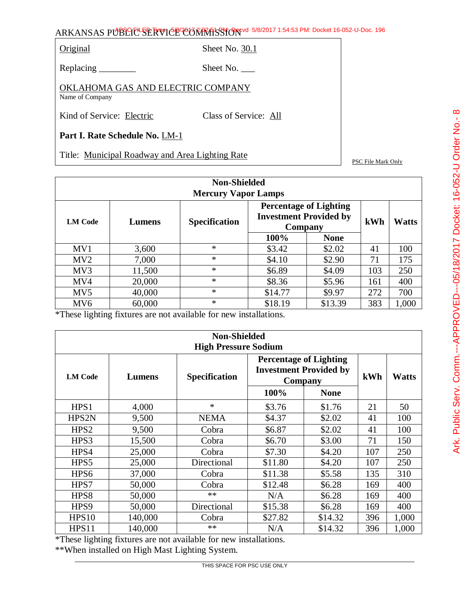Original Sheet No. 30.1

Replacing \_\_\_\_\_\_\_\_\_ Sheet No. \_\_\_

OKLAHOMA GAS AND ELECTRIC COMPANY Name of Company

Kind of Service: Electric Class of Service: All

**Part I. Rate Schedule No.** LM-1

Title: Municipal Roadway and Area Lighting Rate

PSC File Mark Only

|                 | <b>Non-Shielded</b><br><b>Mercury Vapor Lamps</b>                                                           |        |         |             |       |       |  |  |
|-----------------|-------------------------------------------------------------------------------------------------------------|--------|---------|-------------|-------|-------|--|--|
| <b>LM Code</b>  | <b>Percentage of Lighting</b><br><b>Investment Provided by</b><br><b>Specification</b><br>Lumens<br>Company |        |         | kWh         | Watts |       |  |  |
|                 |                                                                                                             |        | 100%    | <b>None</b> |       |       |  |  |
| MV1             | 3,600                                                                                                       | $\ast$ | \$3.42  | \$2.02      | 41    | 100   |  |  |
| MV2             | 7,000                                                                                                       | $\ast$ | \$4.10  | \$2.90      | 71    | 175   |  |  |
| MV3             | 11,500                                                                                                      | $\ast$ | \$6.89  | \$4.09      | 103   | 250   |  |  |
| MV4             | 20,000                                                                                                      | $\ast$ | \$8.36  | \$5.96      | 161   | 400   |  |  |
| MV <sub>5</sub> | 40,000                                                                                                      | $\ast$ | \$14.77 | \$9.97      | 272   | 700   |  |  |
| MV <sub>6</sub> | 60,000                                                                                                      | $\ast$ | \$18.19 | \$13.39     | 383   | 1,000 |  |  |

\*These lighting fixtures are not available for new installations.

|                  | <b>Non-Shielded</b><br><b>High Pressure Sodium</b> |                      |         |                                                                           |     |              |  |  |  |
|------------------|----------------------------------------------------|----------------------|---------|---------------------------------------------------------------------------|-----|--------------|--|--|--|
| <b>LM Code</b>   | Lumens                                             | <b>Specification</b> |         | <b>Percentage of Lighting</b><br><b>Investment Provided by</b><br>Company |     | <b>Watts</b> |  |  |  |
|                  |                                                    |                      | 100%    | <b>None</b>                                                               |     |              |  |  |  |
| HPS1             | 4,000                                              | $\ast$               | \$3.76  | \$1.76                                                                    | 21  | 50           |  |  |  |
| HPS2N            | 9,500                                              | <b>NEMA</b>          | \$4.37  | \$2.02                                                                    | 41  | 100          |  |  |  |
| HPS <sub>2</sub> | 9,500                                              | Cobra                | \$6.87  | \$2.02                                                                    | 41  | 100          |  |  |  |
| HPS3             | 15,500                                             | Cobra                | \$6.70  | \$3.00                                                                    | 71  | 150          |  |  |  |
| HPS4             | 25,000                                             | Cobra                | \$7.30  | \$4.20                                                                    | 107 | 250          |  |  |  |
| HPS5             | 25,000                                             | Directional          | \$11.80 | \$4.20                                                                    | 107 | 250          |  |  |  |
| HPS6             | 37,000                                             | Cobra                | \$11.38 | \$5.58                                                                    | 135 | 310          |  |  |  |
| HPS7             | 50,000                                             | Cobra                | \$12.48 | \$6.28                                                                    | 169 | 400          |  |  |  |
| HPS8             | 50,000                                             | **                   | N/A     | \$6.28                                                                    | 169 | 400          |  |  |  |
| HPS <sub>9</sub> | 50,000                                             | Directional          | \$15.38 | \$6.28                                                                    | 169 | 400          |  |  |  |
| HPS10            | 140,000                                            | Cobra                | \$27.82 | \$14.32                                                                   | 396 | 1,000        |  |  |  |
| HPS11            | 140,000                                            | $**$                 | N/A     | \$14.32                                                                   | 396 | 1,000        |  |  |  |

\*These lighting fixtures are not available for new installations.

\*\*When installed on High Mast Lighting System.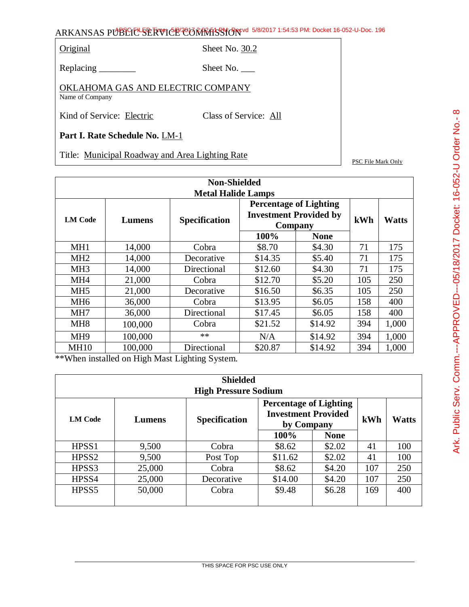Original Sheet No. 30.2

Replacing \_\_\_\_\_\_\_\_\_ Sheet No. \_\_\_

OKLAHOMA GAS AND ELECTRIC COMPANY Name of Company

Kind of Service: Electric Class of Service: All

**Part I. Rate Schedule No.** LM-1

Title: Municipal Roadway and Area Lighting Rate

PSC File Mark Only

|                 | <b>Non-Shielded</b><br><b>Metal Halide Lamps</b> |                      |                                                                           |             |     |              |  |  |  |
|-----------------|--------------------------------------------------|----------------------|---------------------------------------------------------------------------|-------------|-----|--------------|--|--|--|
| <b>LM Code</b>  | Lumens                                           | <b>Specification</b> | <b>Percentage of Lighting</b><br><b>Investment Provided by</b><br>Company |             | kWh | <b>Watts</b> |  |  |  |
|                 |                                                  |                      | 100%                                                                      | <b>None</b> |     |              |  |  |  |
| MH1             | 14,000                                           | Cobra                | \$8.70                                                                    | \$4.30      | 71  | 175          |  |  |  |
| MH <sub>2</sub> | 14,000                                           | Decorative           | \$14.35                                                                   | \$5.40      | 71  | 175          |  |  |  |
| MH <sub>3</sub> | 14,000                                           | Directional          | \$12.60                                                                   | \$4.30      | 71  | 175          |  |  |  |
| MH <sub>4</sub> | 21,000                                           | Cobra                | \$12.70                                                                   | \$5.20      | 105 | 250          |  |  |  |
| MH <sub>5</sub> | 21,000                                           | Decorative           | \$16.50                                                                   | \$6.35      | 105 | 250          |  |  |  |
| MH <sub>6</sub> | 36,000                                           | Cobra                | \$13.95                                                                   | \$6.05      | 158 | 400          |  |  |  |
| MH7             | 36,000                                           | Directional          | \$17.45                                                                   | \$6.05      | 158 | 400          |  |  |  |
| MH <sub>8</sub> | 100,000                                          | Cobra                | \$21.52                                                                   | \$14.92     | 394 | 1,000        |  |  |  |
| MH <sub>9</sub> | 100,000                                          | $**$                 | N/A                                                                       | \$14.92     | 394 | 1,000        |  |  |  |
| <b>MH10</b>     | 100,000                                          | Directional          | \$20.87                                                                   | \$14.92     | 394 | 1,000        |  |  |  |

\*\*When installed on High Mast Lighting System.

|                   | <b>Shielded</b><br><b>High Pressure Sodium</b> |                      |                                                                           |             |     |              |  |  |
|-------------------|------------------------------------------------|----------------------|---------------------------------------------------------------------------|-------------|-----|--------------|--|--|
| <b>LM Code</b>    | Lumens                                         | <b>Specification</b> | <b>Percentage of Lighting</b><br><b>Investment Provided</b><br>by Company |             | kWh | <b>Watts</b> |  |  |
|                   |                                                |                      | 100%                                                                      | <b>None</b> |     |              |  |  |
| HPSS1             | 9,500                                          | Cobra                | \$8.62                                                                    | \$2.02      | 41  | 100          |  |  |
| HPSS <sub>2</sub> | 9,500                                          | Post Top             | \$11.62                                                                   | \$2.02      | 41  | 100          |  |  |
| HPSS3             | 25,000                                         | Cobra                | \$8.62                                                                    | \$4.20      | 107 | 250          |  |  |
| HPSS4             | 25,000                                         | Decorative           | \$14.00                                                                   | \$4.20      | 107 | 250          |  |  |
| HPSS <sub>5</sub> | 50,000                                         | Cobra                | \$9.48                                                                    | \$6.28      | 169 | 400          |  |  |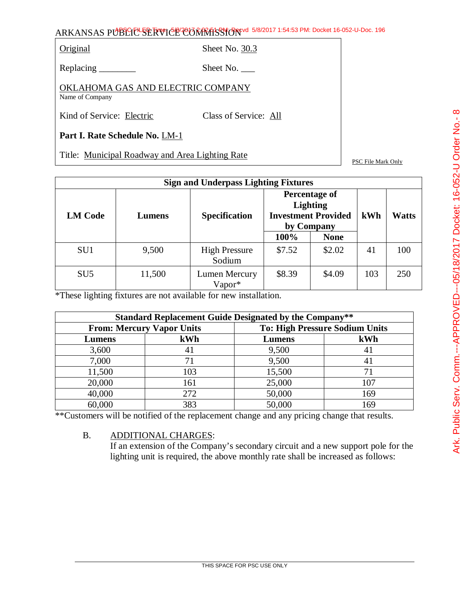Original Sheet No. 30.3

Replacing \_\_\_\_\_\_\_\_\_ Sheet No. \_\_\_

OKLAHOMA GAS AND ELECTRIC COMPANY Name of Company

Kind of Service: Electric Class of Service: All

**Part I. Rate Schedule No.** LM-1

Title: Municipal Roadway and Area Lighting Rate

PSC File Mark Only

|                 | <b>Sign and Underpass Lighting Fixtures</b> |                                |                                                                              |             |     |              |  |  |
|-----------------|---------------------------------------------|--------------------------------|------------------------------------------------------------------------------|-------------|-----|--------------|--|--|
| <b>LM Code</b>  | Lumens                                      | <b>Specification</b>           | Percentage of<br><b>Lighting</b><br><b>Investment Provided</b><br>by Company |             | kWh | <b>Watts</b> |  |  |
|                 |                                             |                                | 100%                                                                         | <b>None</b> |     |              |  |  |
| SU <sub>1</sub> | 9,500                                       | <b>High Pressure</b><br>Sodium | \$7.52                                                                       | \$2.02      | 41  | 100          |  |  |
| SU <sub>5</sub> | 11,500                                      | Lumen Mercury<br>Vapor*        | \$8.39                                                                       | \$4.09      | 103 | 250          |  |  |

\*These lighting fixtures are not available for new installation.

| <b>Standard Replacement Guide Designated by the Company**</b> |                                  |        |                                       |  |  |
|---------------------------------------------------------------|----------------------------------|--------|---------------------------------------|--|--|
|                                                               | <b>From: Mercury Vapor Units</b> |        | <b>To: High Pressure Sodium Units</b> |  |  |
| Lumens                                                        | kWh                              | Lumens | kWh                                   |  |  |
| 3,600                                                         | 41                               | 9,500  | 41                                    |  |  |
| 7,000                                                         | 71                               | 9,500  | 41                                    |  |  |
| 11,500                                                        | 103                              | 15,500 | 71                                    |  |  |
| 20,000                                                        | 161                              | 25,000 | 107                                   |  |  |
| 40,000                                                        | 272                              | 50,000 | 169                                   |  |  |
| 60,000                                                        | 383                              | 50,000 | 169                                   |  |  |

\*\*Customers will be notified of the replacement change and any pricing change that results.

### B. ADDITIONAL CHARGES:

If an extension of the Company's secondary circuit and a new support pole for the lighting unit is required, the above monthly rate shall be increased as follows: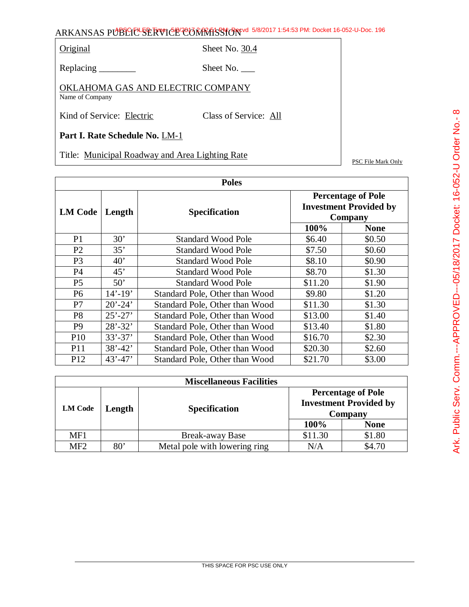Original Sheet No. 30.4

Replacing \_\_\_\_\_\_\_\_\_ Sheet No. \_\_\_

OKLAHOMA GAS AND ELECTRIC COMPANY Name of Company

Kind of Service: Electric Class of Service: All

**Part I. Rate Schedule No.** LM-1

Title: Municipal Roadway and Area Lighting Rate

PSC File Mark Only

| <b>Poles</b>    |              |                                |                                                                       |             |  |
|-----------------|--------------|--------------------------------|-----------------------------------------------------------------------|-------------|--|
| <b>LM Code</b>  | Length       | <b>Specification</b>           | <b>Percentage of Pole</b><br><b>Investment Provided by</b><br>Company |             |  |
|                 |              |                                | 100%                                                                  | <b>None</b> |  |
| P <sub>1</sub>  | 30'          | <b>Standard Wood Pole</b>      | \$6.40                                                                | \$0.50      |  |
| P <sub>2</sub>  | 35'          | <b>Standard Wood Pole</b>      | \$7.50                                                                | \$0.60      |  |
| P <sub>3</sub>  | $40^{\circ}$ | <b>Standard Wood Pole</b>      | \$8.10                                                                | \$0.90      |  |
| <b>P4</b>       | 45'          | <b>Standard Wood Pole</b>      | \$8.70                                                                | \$1.30      |  |
| P <sub>5</sub>  | 50'          | <b>Standard Wood Pole</b>      | \$11.20                                                               | \$1.90      |  |
| P <sub>6</sub>  | $14' - 19'$  | Standard Pole, Other than Wood | \$9.80                                                                | \$1.20      |  |
| P7              | $20' - 24'$  | Standard Pole, Other than Wood | \$11.30                                                               | \$1.30      |  |
| P <sub>8</sub>  | $25' - 27'$  | Standard Pole, Other than Wood | \$13.00                                                               | \$1.40      |  |
| P <sub>9</sub>  | $28' - 32'$  | Standard Pole, Other than Wood | \$13.40                                                               | \$1.80      |  |
| P <sub>10</sub> | $33' - 37'$  | Standard Pole, Other than Wood | \$16.70                                                               | \$2.30      |  |
| P <sub>11</sub> | $38' - 42'$  | Standard Pole, Other than Wood | \$20.30                                                               | \$2.60      |  |
| P <sub>12</sub> | $43' - 47'$  | Standard Pole, Other than Wood | \$21.70                                                               | \$3.00      |  |

|                 | <b>Miscellaneous Facilities</b> |                               |                                                                       |             |  |  |
|-----------------|---------------------------------|-------------------------------|-----------------------------------------------------------------------|-------------|--|--|
| <b>LM Code</b>  | Length                          | <b>Specification</b>          | <b>Percentage of Pole</b><br><b>Investment Provided by</b><br>Company |             |  |  |
|                 |                                 |                               | 100%                                                                  | <b>None</b> |  |  |
| MF1             |                                 | Break-away Base               | \$11.30                                                               | \$1.80      |  |  |
| MF <sub>2</sub> | 80'                             | Metal pole with lowering ring | N/A                                                                   | \$4.70      |  |  |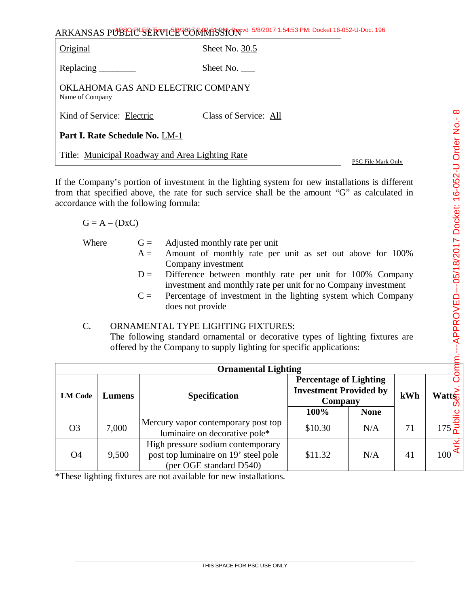| Original                                             | Sheet No. 30.5        |  |
|------------------------------------------------------|-----------------------|--|
|                                                      | Sheet No.             |  |
| OKLAHOMA GAS AND ELECTRIC COMPANY<br>Name of Company |                       |  |
| Kind of Service: Electric                            | Class of Service: All |  |
| Part I. Rate Schedule No. LM-1                       |                       |  |
| Title: Municipal Roadway and Area Lighting Rate      | PSC File Mark Only    |  |

If the Company's portion of investment in the lighting system for new installations is different from that specified above, the rate for such service shall be the amount "G" as calculated in accordance with the following formula:

#### $G = A - (DxC)$

| Where | $A =$ | $G =$ Adjusted monthly rate per unit<br>Amount of monthly rate per unit as set out above for 100%                                                       |
|-------|-------|---------------------------------------------------------------------------------------------------------------------------------------------------------|
|       |       | Company investment<br>$D =$ Difference between monthly rate per unit for 100% Company<br>investment and monthly rate per unit for no Company investment |
|       | $C =$ | Percentage of investment in the lighting system which Company<br>does not provide                                                                       |

### C. ORNAMENTAL TYPE LIGHTING FIXTURES:

The following standard ornamental or decorative types of lighting fixtures are offered by the Company to supply lighting for specific applications:

|                          | <b>Ornamental Lighting</b> |                                                                                                      |                                                                           |             |     |                                    |  |  |
|--------------------------|----------------------------|------------------------------------------------------------------------------------------------------|---------------------------------------------------------------------------|-------------|-----|------------------------------------|--|--|
| <b>LM Code</b><br>Lumens |                            | <b>Specification</b>                                                                                 | <b>Percentage of Lighting</b><br><b>Investment Provided by</b><br>Company |             | kWh | $W$ att $\sum_{n=1}^{\infty}$<br>ഗ |  |  |
|                          |                            |                                                                                                      | 100%                                                                      | <b>None</b> |     |                                    |  |  |
| O <sub>3</sub>           | 7,000                      | Mercury vapor contemporary post top<br>luminaire on decorative pole*                                 | \$10.30                                                                   | N/A         | 71  | $175\frac{2}{6}$                   |  |  |
| O4                       | 9,500                      | High pressure sodium contemporary<br>post top luminaire on 19' steel pole<br>(per OGE standard D540) | \$11.32                                                                   | N/A         | 41  | 녻<br>$100^{\text{C}}$              |  |  |

\*These lighting fixtures are not available for new installations.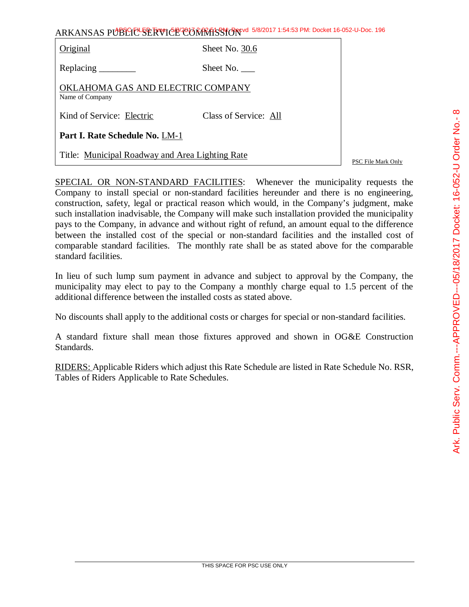| ARKANSAS PUBLIC SERVICE CONTRASSION 5/8/2017 1:54:53 PM: Docket 16-052-U-Doc. 196 |  |
|-----------------------------------------------------------------------------------|--|
|-----------------------------------------------------------------------------------|--|

| Original                                             | Sheet No. 30.6        |  |  |
|------------------------------------------------------|-----------------------|--|--|
| Replacing _______                                    | Sheet No.             |  |  |
| OKLAHOMA GAS AND ELECTRIC COMPANY<br>Name of Company |                       |  |  |
| Kind of Service: Electric                            | Class of Service: All |  |  |
| Part I. Rate Schedule No. LM-1                       |                       |  |  |
| Title: Municipal Roadway and Area Lighting Rate      |                       |  |  |

PSC File Mark Only

SPECIAL OR NON-STANDARD FACILITIES: Whenever the municipality requests the Company to install special or non-standard facilities hereunder and there is no engineering, construction, safety, legal or practical reason which would, in the Company's judgment, make such installation inadvisable, the Company will make such installation provided the municipality pays to the Company, in advance and without right of refund, an amount equal to the difference between the installed cost of the special or non-standard facilities and the installed cost of comparable standard facilities. The monthly rate shall be as stated above for the comparable standard facilities.

In lieu of such lump sum payment in advance and subject to approval by the Company, the municipality may elect to pay to the Company a monthly charge equal to 1.5 percent of the additional difference between the installed costs as stated above.

No discounts shall apply to the additional costs or charges for special or non-standard facilities.

A standard fixture shall mean those fixtures approved and shown in OG&E Construction Standards.

RIDERS: Applicable Riders which adjust this Rate Schedule are listed in Rate Schedule No. RSR, Tables of Riders Applicable to Rate Schedules.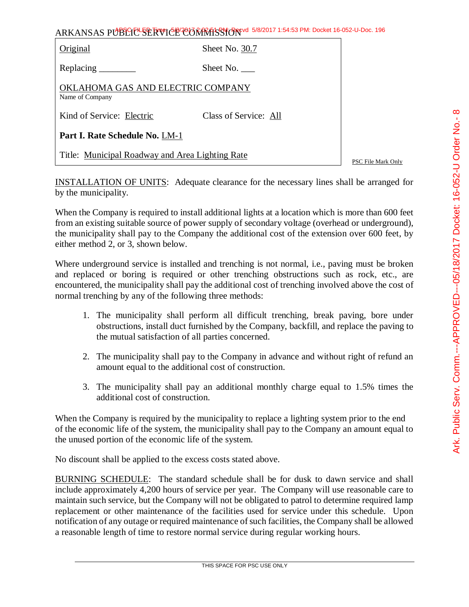| ARKANSAS PUBLICE SERVICE CONTRASSION 5/8/2017 1:54:53 PM: Docket 16-052-U-Doc. 196 |
|------------------------------------------------------------------------------------|
|------------------------------------------------------------------------------------|

| Original                                             | Sheet No. 30.7            |  |
|------------------------------------------------------|---------------------------|--|
| Replacing                                            | Sheet No.                 |  |
| OKLAHOMA GAS AND ELECTRIC COMPANY<br>Name of Company |                           |  |
| Kind of Service: Electric                            | Class of Service: All     |  |
| Part I. Rate Schedule No. LM-1                       |                           |  |
| Title: Municipal Roadway and Area Lighting Rate      | <b>PSC File Mark Only</b> |  |

INSTALLATION OF UNITS: Adequate clearance for the necessary lines shall be arranged for by the municipality.

When the Company is required to install additional lights at a location which is more than 600 feet from an existing suitable source of power supply of secondary voltage (overhead or underground), the municipality shall pay to the Company the additional cost of the extension over 600 feet, by either method 2, or 3, shown below.

Where underground service is installed and trenching is not normal, i.e., paving must be broken and replaced or boring is required or other trenching obstructions such as rock, etc., are encountered, the municipality shall pay the additional cost of trenching involved above the cost of normal trenching by any of the following three methods:

- 1. The municipality shall perform all difficult trenching, break paving, bore under obstructions, install duct furnished by the Company, backfill, and replace the paving to the mutual satisfaction of all parties concerned.
- 2. The municipality shall pay to the Company in advance and without right of refund an amount equal to the additional cost of construction.
- 3. The municipality shall pay an additional monthly charge equal to 1.5% times the additional cost of construction.

When the Company is required by the municipality to replace a lighting system prior to the end of the economic life of the system, the municipality shall pay to the Company an amount equal to the unused portion of the economic life of the system.

No discount shall be applied to the excess costs stated above.

BURNING SCHEDULE: The standard schedule shall be for dusk to dawn service and shall include approximately 4,200 hours of service per year. The Company will use reasonable care to maintain such service, but the Company will not be obligated to patrol to determine required lamp replacement or other maintenance of the facilities used for service under this schedule. Upon notification of any outage or required maintenance of such facilities, the Company shall be allowed a reasonable length of time to restore normal service during regular working hours.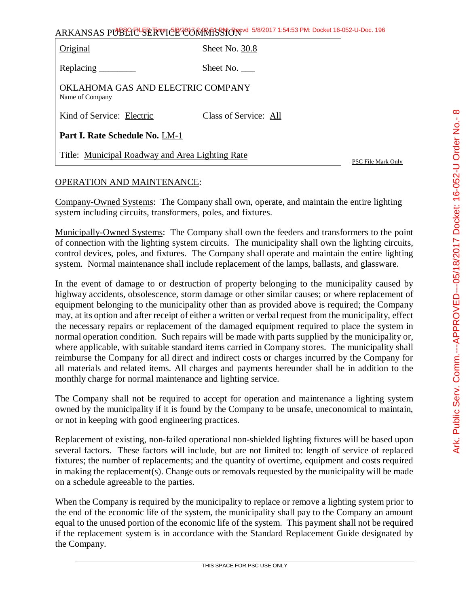| ARKANSAS PUBLICE SERVICE CORRATSSION 5/8/2017 1:54:53 PM: Docket 16-052-U-Doc. 196 |                |  |  |  |
|------------------------------------------------------------------------------------|----------------|--|--|--|
| Original                                                                           | Sheet No. 30.8 |  |  |  |
| Replacing                                                                          | Sheet No.      |  |  |  |

OKLAHOMA GAS AND ELECTRIC COMPANY Name of Company

Kind of Service: Electric Class of Service: All

**Part I. Rate Schedule No.** LM-1

Title: Municipal Roadway and Area Lighting Rate

PSC File Mark Only

### OPERATION AND MAINTENANCE:

Company-Owned Systems: The Company shall own, operate, and maintain the entire lighting system including circuits, transformers, poles, and fixtures.

Municipally-Owned Systems: The Company shall own the feeders and transformers to the point of connection with the lighting system circuits. The municipality shall own the lighting circuits, control devices, poles, and fixtures. The Company shall operate and maintain the entire lighting system. Normal maintenance shall include replacement of the lamps, ballasts, and glassware.

In the event of damage to or destruction of property belonging to the municipality caused by highway accidents, obsolescence, storm damage or other similar causes; or where replacement of equipment belonging to the municipality other than as provided above is required; the Company may, at its option and after receipt of either a written or verbal request from the municipality, effect the necessary repairs or replacement of the damaged equipment required to place the system in normal operation condition. Such repairs will be made with parts supplied by the municipality or, where applicable, with suitable standard items carried in Company stores. The municipality shall reimburse the Company for all direct and indirect costs or charges incurred by the Company for all materials and related items. All charges and payments hereunder shall be in addition to the monthly charge for normal maintenance and lighting service.

The Company shall not be required to accept for operation and maintenance a lighting system owned by the municipality if it is found by the Company to be unsafe, uneconomical to maintain, or not in keeping with good engineering practices.

Replacement of existing, non-failed operational non-shielded lighting fixtures will be based upon several factors. These factors will include, but are not limited to: length of service of replaced fixtures; the number of replacements; and the quantity of overtime, equipment and costs required in making the replacement(s). Change outs or removals requested by the municipality will be made on a schedule agreeable to the parties.

When the Company is required by the municipality to replace or remove a lighting system prior to the end of the economic life of the system, the municipality shall pay to the Company an amount equal to the unused portion of the economic life of the system. This payment shall not be required if the replacement system is in accordance with the Standard Replacement Guide designated by the Company.